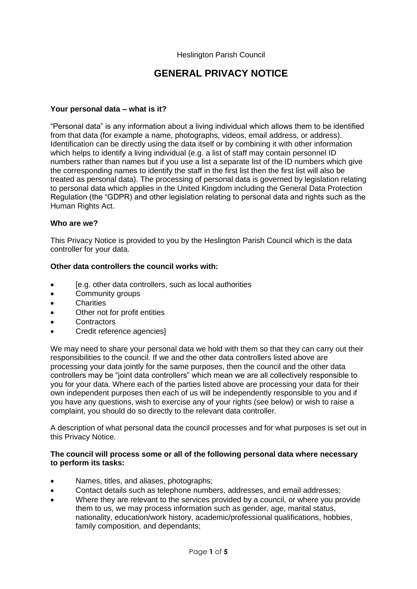# **GENERAL PRIVACY NOTICE**

#### **Your personal data – what is it?**

"Personal data" is any information about a living individual which allows them to be identified from that data (for example a name, photographs, videos, email address, or address). Identification can be directly using the data itself or by combining it with other information which helps to identify a living individual (e.g. a list of staff may contain personnel ID numbers rather than names but if you use a list a separate list of the ID numbers which give the corresponding names to identify the staff in the first list then the first list will also be treated as personal data). The processing of personal data is governed by legislation relating to personal data which applies in the United Kingdom including the General Data Protection Regulation (the "GDPR) and other legislation relating to personal data and rights such as the Human Rights Act.

#### **Who are we?**

This Privacy Notice is provided to you by the Heslington Parish Council which is the data controller for your data.

#### **Other data controllers the council works with:**

- [e.g. other data controllers, such as local authorities
- Community groups
- Charities
- Other not for profit entities
- **Contractors**
- Credit reference agencies]

We may need to share your personal data we hold with them so that they can carry out their responsibilities to the council. If we and the other data controllers listed above are processing your data jointly for the same purposes, then the council and the other data controllers may be "joint data controllers" which mean we are all collectively responsible to you for your data. Where each of the parties listed above are processing your data for their own independent purposes then each of us will be independently responsible to you and if you have any questions, wish to exercise any of your rights (see below) or wish to raise a complaint, you should do so directly to the relevant data controller.

A description of what personal data the council processes and for what purposes is set out in this Privacy Notice.

#### **The council will process some or all of the following personal data where necessary to perform its tasks:**

- Names, titles, and aliases, photographs;
- Contact details such as telephone numbers, addresses, and email addresses;
- Where they are relevant to the services provided by a council, or where you provide them to us, we may process information such as gender, age, marital status, nationality, education/work history, academic/professional qualifications, hobbies, family composition, and dependants;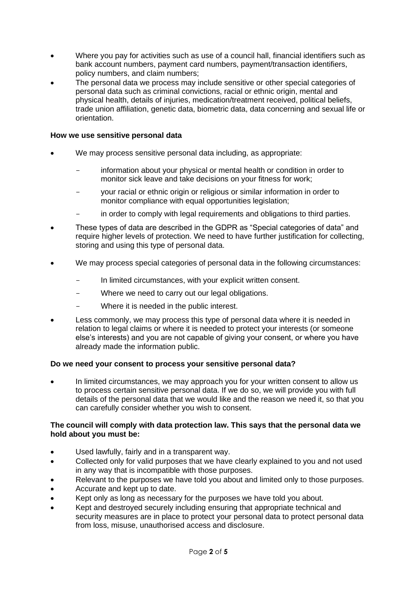- Where you pay for activities such as use of a council hall, financial identifiers such as bank account numbers, payment card numbers, payment/transaction identifiers, policy numbers, and claim numbers;
- The personal data we process may include sensitive or other special categories of personal data such as criminal convictions, racial or ethnic origin, mental and physical health, details of injuries, medication/treatment received, political beliefs, trade union affiliation, genetic data, biometric data, data concerning and sexual life or orientation.

## **How we use sensitive personal data**

- We may process sensitive personal data including, as appropriate:
	- information about your physical or mental health or condition in order to monitor sick leave and take decisions on your fitness for work;
	- your racial or ethnic origin or religious or similar information in order to monitor compliance with equal opportunities legislation;
	- in order to comply with legal requirements and obligations to third parties.
- These types of data are described in the GDPR as "Special categories of data" and require higher levels of protection. We need to have further justification for collecting, storing and using this type of personal data.
- We may process special categories of personal data in the following circumstances:
	- In limited circumstances, with your explicit written consent.
	- Where we need to carry out our legal obligations.
	- Where it is needed in the public interest.
- Less commonly, we may process this type of personal data where it is needed in relation to legal claims or where it is needed to protect your interests (or someone else's interests) and you are not capable of giving your consent, or where you have already made the information public.

# **Do we need your consent to process your sensitive personal data?**

• In limited circumstances, we may approach you for your written consent to allow us to process certain sensitive personal data. If we do so, we will provide you with full details of the personal data that we would like and the reason we need it, so that you can carefully consider whether you wish to consent.

#### **The council will comply with data protection law. This says that the personal data we hold about you must be:**

- Used lawfully, fairly and in a transparent way.
- Collected only for valid purposes that we have clearly explained to you and not used in any way that is incompatible with those purposes.
- Relevant to the purposes we have told you about and limited only to those purposes.
- Accurate and kept up to date.
- Kept only as long as necessary for the purposes we have told you about.
- Kept and destroyed securely including ensuring that appropriate technical and security measures are in place to protect your personal data to protect personal data from loss, misuse, unauthorised access and disclosure.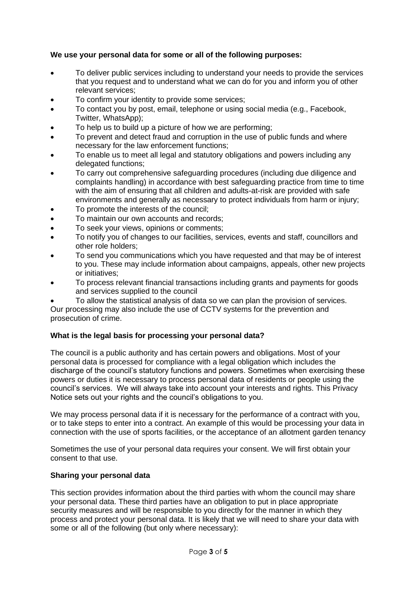# **We use your personal data for some or all of the following purposes:**

- To deliver public services including to understand your needs to provide the services that you request and to understand what we can do for you and inform you of other relevant services;
- To confirm your identity to provide some services;
- To contact you by post, email, telephone or using social media (e.g., Facebook, Twitter, WhatsApp);
- To help us to build up a picture of how we are performing;
- To prevent and detect fraud and corruption in the use of public funds and where necessary for the law enforcement functions;
- To enable us to meet all legal and statutory obligations and powers including any delegated functions;
- To carry out comprehensive safeguarding procedures (including due diligence and complaints handling) in accordance with best safeguarding practice from time to time with the aim of ensuring that all children and adults-at-risk are provided with safe environments and generally as necessary to protect individuals from harm or injury;
- To promote the interests of the council;
- To maintain our own accounts and records;
- To seek your views, opinions or comments;
- To notify you of changes to our facilities, services, events and staff, councillors and other role holders;
- To send you communications which you have requested and that may be of interest to you. These may include information about campaigns, appeals, other new projects or initiatives;
- To process relevant financial transactions including grants and payments for goods and services supplied to the council
- To allow the statistical analysis of data so we can plan the provision of services. Our processing may also include the use of CCTV systems for the prevention and prosecution of crime.

#### **What is the legal basis for processing your personal data?**

The council is a public authority and has certain powers and obligations. Most of your personal data is processed for compliance with a legal obligation which includes the discharge of the council's statutory functions and powers. Sometimes when exercising these powers or duties it is necessary to process personal data of residents or people using the council's services. We will always take into account your interests and rights. This Privacy Notice sets out your rights and the council's obligations to you.

We may process personal data if it is necessary for the performance of a contract with you, or to take steps to enter into a contract. An example of this would be processing your data in connection with the use of sports facilities, or the acceptance of an allotment garden tenancy

Sometimes the use of your personal data requires your consent. We will first obtain your consent to that use.

#### **Sharing your personal data**

This section provides information about the third parties with whom the council may share your personal data. These third parties have an obligation to put in place appropriate security measures and will be responsible to you directly for the manner in which they process and protect your personal data. It is likely that we will need to share your data with some or all of the following (but only where necessary):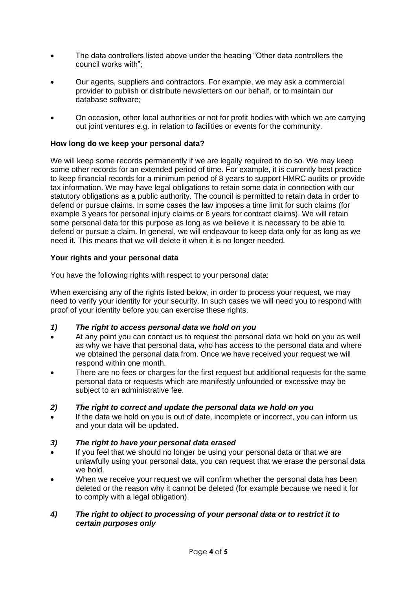- The data controllers listed above under the heading "Other data controllers the council works with";
- Our agents, suppliers and contractors. For example, we may ask a commercial provider to publish or distribute newsletters on our behalf, or to maintain our database software;
- On occasion, other local authorities or not for profit bodies with which we are carrying out joint ventures e.g. in relation to facilities or events for the community.

## **How long do we keep your personal data?**

We will keep some records permanently if we are legally required to do so. We may keep some other records for an extended period of time. For example, it is currently best practice to keep financial records for a minimum period of 8 years to support HMRC audits or provide tax information. We may have legal obligations to retain some data in connection with our statutory obligations as a public authority. The council is permitted to retain data in order to defend or pursue claims. In some cases the law imposes a time limit for such claims (for example 3 years for personal injury claims or 6 years for contract claims). We will retain some personal data for this purpose as long as we believe it is necessary to be able to defend or pursue a claim. In general, we will endeavour to keep data only for as long as we need it. This means that we will delete it when it is no longer needed.

## **Your rights and your personal data**

You have the following rights with respect to your personal data:

When exercising any of the rights listed below, in order to process your request, we may need to verify your identity for your security. In such cases we will need you to respond with proof of your identity before you can exercise these rights.

#### *1) The right to access personal data we hold on you*

- At any point you can contact us to request the personal data we hold on you as well as why we have that personal data, who has access to the personal data and where we obtained the personal data from. Once we have received your request we will respond within one month.
- There are no fees or charges for the first request but additional requests for the same personal data or requests which are manifestly unfounded or excessive may be subject to an administrative fee.

#### *2) The right to correct and update the personal data we hold on you*

If the data we hold on you is out of date, incomplete or incorrect, you can inform us and your data will be updated.

# *3) The right to have your personal data erased*

- If you feel that we should no longer be using your personal data or that we are unlawfully using your personal data, you can request that we erase the personal data we hold.
- When we receive your request we will confirm whether the personal data has been deleted or the reason why it cannot be deleted (for example because we need it for to comply with a legal obligation).

# *4) The right to object to processing of your personal data or to restrict it to certain purposes only*